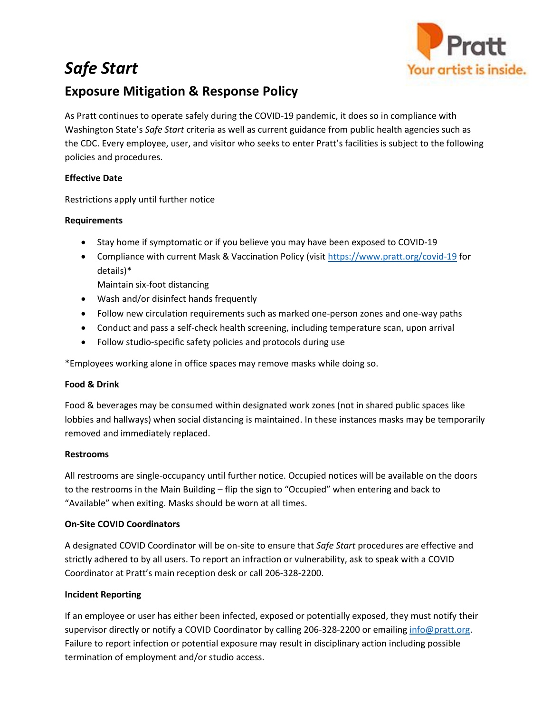# *Safe Start*



# **Exposure Mitigation & Response Policy**

As Pratt continues to operate safely during the COVID-19 pandemic, it does so in compliance with Washington State's *Safe Start* criteria as well as current guidance from public health agencies such as the CDC. Every employee, user, and visitor who seeks to enter Pratt's facilities is subject to the following policies and procedures.

# **Effective Date**

Restrictions apply until further notice

# **Requirements**

- Stay home if symptomatic or if you believe you may have been exposed to COVID-19
- Compliance with current Mask & Vaccination Policy (visit<https://www.pratt.org/covid-19> for details)\*

Maintain six-foot distancing

- Wash and/or disinfect hands frequently
- Follow new circulation requirements such as marked one-person zones and one-way paths
- Conduct and pass a self-check health screening, including temperature scan, upon arrival
- Follow studio-specific safety policies and protocols during use

\*Employees working alone in office spaces may remove masks while doing so.

# **Food & Drink**

Food & beverages may be consumed within designated work zones (not in shared public spaces like lobbies and hallways) when social distancing is maintained. In these instances masks may be temporarily removed and immediately replaced.

# **Restrooms**

All restrooms are single-occupancy until further notice. Occupied notices will be available on the doors to the restrooms in the Main Building – flip the sign to "Occupied" when entering and back to "Available" when exiting. Masks should be worn at all times.

# **On-Site COVID Coordinators**

A designated COVID Coordinator will be on-site to ensure that *Safe Start* procedures are effective and strictly adhered to by all users. To report an infraction or vulnerability, ask to speak with a COVID Coordinator at Pratt's main reception desk or call 206-328-2200.

# **Incident Reporting**

If an employee or user has either been infected, exposed or potentially exposed, they must notify their supervisor directly or notify a COVID Coordinator by calling 206-328-2200 or emailing [info@pratt.org.](mailto:info@pratt.org) Failure to report infection or potential exposure may result in disciplinary action including possible termination of employment and/or studio access.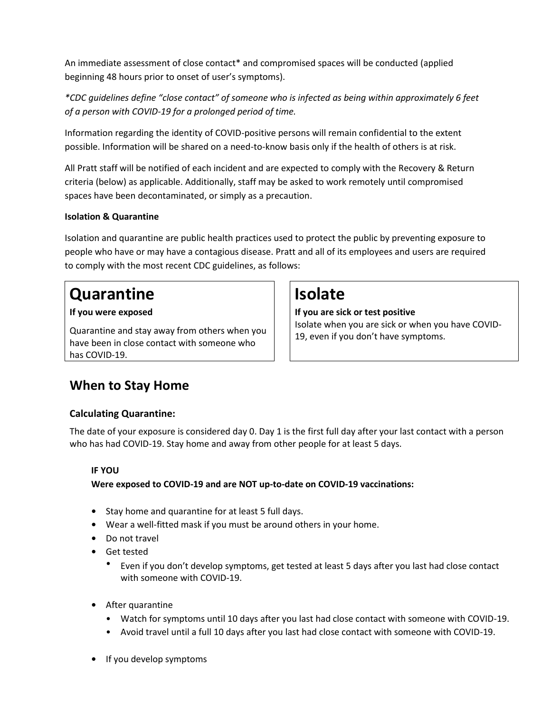An immediate assessment of close contact\* and compromised spaces will be conducted (applied beginning 48 hours prior to onset of user's symptoms).

*\*CDC guidelines define "close contact" of someone who is infected as being within approximately 6 feet of a person with COVID-19 for a prolonged period of time.* 

Information regarding the identity of COVID-positive persons will remain confidential to the extent possible. Information will be shared on a need-to-know basis only if the health of others is at risk.

All Pratt staff will be notified of each incident and are expected to comply with the Recovery & Return criteria (below) as applicable. Additionally, staff may be asked to work remotely until compromised spaces have been decontaminated, or simply as a precaution.

# **Isolation & Quarantine**

Isolation and quarantine are public health practices used to protect the public by preventing exposure to people who have or may have a contagious disease. Pratt and all of its employees and users are required to comply with the most recent CDC guidelines, as follows:

# **Quarantine I** Isolate

Quarantine and stay away from others when you have been in close contact with someone who has COVID-19.

# **If you were exposed If you are sick or test positive**

Isolate when you are sick or when you have COVID-19, even if you don't have symptoms.

# **When to Stay Home**

# **Calculating Quarantine:**

The date of your exposure is considered day 0. Day 1 is the first full day after your last contact with a person who has had COVID-19. Stay home and away from other people for at least 5 days.

# **IF YOU**

# **Were exposed to COVID-19 and are NOT up-to-date on COVID-19 vaccinations:**

- **•** Stay home and quarantine for at least 5 full days.
- **•** Wear a well-fitted mask if you must be around others in your home.
- **•** Do not travel
- **•** Get tested
	- Even if you don't develop symptoms, get tested at least 5 days after you last had close contact with someone with COVID-19.
- **•** After quarantine
	- Watch for symptoms until 10 days after you last had close contact with someone with COVID-19.
	- Avoid travel until a full 10 days after you last had close contact with someone with COVID-19.
- **•** If you develop symptoms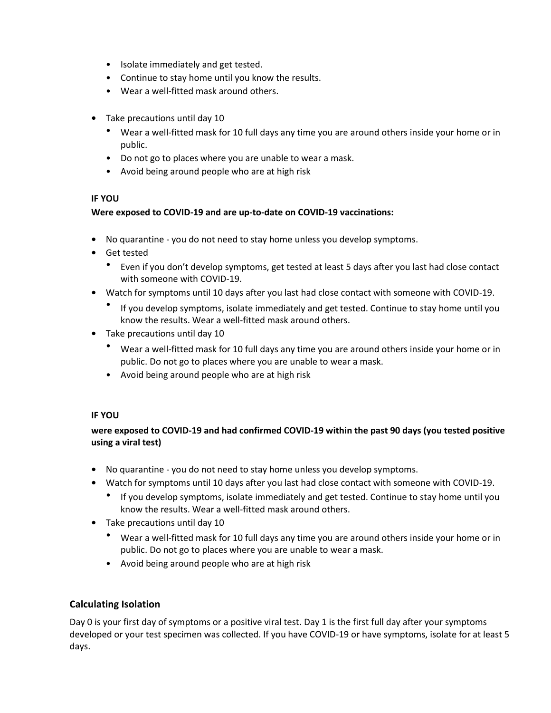- Isolate immediately and get tested.
- Continue to stay home until you know the results.
- Wear a well-fitted mask around others.
- **•** Take precautions until day 10
	- Wear a well-fitted mask for 10 full days any time you are around others inside your home or in public.
	- Do not go to places where you are unable to wear a mask.
	- Avoid being around people who are at high risk

# **IF YOU**

# **Were exposed to COVID-19 and are up-to-date on COVID-19 vaccinations:**

- **•** No quarantine you do not need to stay home unless you develop symptoms.
- **•** Get tested
	- Even if you don't develop symptoms, get tested at least 5 days after you last had close contact with someone with COVID-19.
- **•** Watch for symptoms until 10 days after you last had close contact with someone with COVID-19.
	- If you develop symptoms, isolate immediately and get tested. Continue to stay home until you know the results. Wear a well-fitted mask around others.
- **•** Take precautions until day 10
	- Wear a well-fitted mask for 10 full days any time you are around others inside your home or in public. Do not go to places where you are unable to wear a mask.
	- Avoid being around people who are at high risk

# **IF YOU**

# **were exposed to COVID-19 and had confirmed COVID-19 within the past 90 days (you tested positive using a viral test)**

- **•** No quarantine you do not need to stay home unless you develop symptoms.
- **•** Watch for symptoms until 10 days after you last had close contact with someone with COVID-19.
	- If you develop symptoms, isolate immediately and get tested. Continue to stay home until you know the results. Wear a well-fitted mask around others.
- **•** Take precautions until day 10
	- Wear a well-fitted mask for 10 full days any time you are around others inside your home or in public. Do not go to places where you are unable to wear a mask.
	- Avoid being around people who are at high risk

# **Calculating Isolation**

Day 0 is your first day of symptoms or a positive viral test. Day 1 is the first full day after your symptoms developed or your test specimen was collected. If you have COVID-19 or have symptoms, isolate for at least 5 days.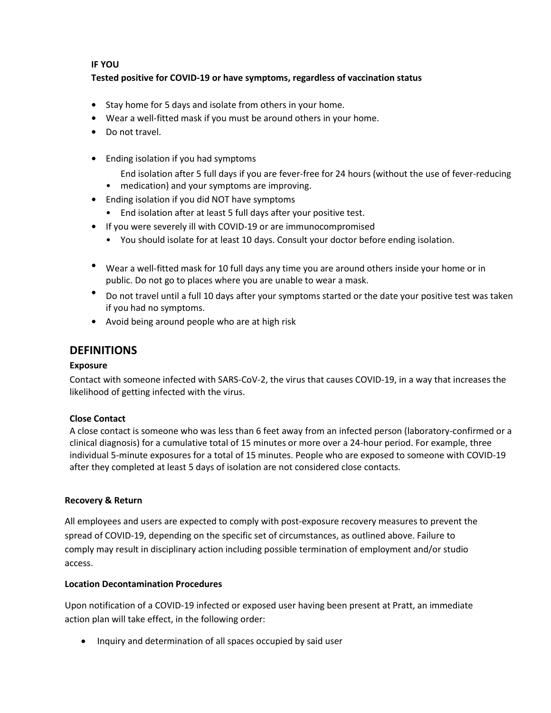# **IF YOU**

# **Tested positive for COVID-19 or have symptoms, regardless of vaccination status**

- **•** Stay home for 5 days and isolate from others in your home.
- **•** Wear a well-fitted mask if you must be around others in your home.
- **•** Do not travel.
- **•** Ending isolation if you had symptoms
	- End isolation after 5 full days if you are fever-free for 24 hours (without the use of fever-reducing
	- medication) and your symptoms are improving.
- **•** Ending isolation if you did NOT have symptoms
	- End isolation after at least 5 full days after your positive test.
- **•** If you were severely ill with COVID-19 or are immunocompromised
	- You should isolate for at least 10 days. Consult your doctor before ending isolation.
- **•** Wear a well-fitted mask for 10 full days any time you are around others inside your home or in public. Do not go to places where you are unable to wear a mask.
- **•** Do not travel until a full 10 days after your symptoms started or the date your positive test was taken if you had no symptoms.
- **•** Avoid being around people who are at high risk

# **DEFINITIONS**

# **Exposure**

Contact with someone infected with SARS-CoV-2, the virus that causes COVID-19, in a way that increases the likelihood of getting infected with the virus.

# **Close Contact**

A close contact is someone who was less than 6 feet away from an infected person (laboratory-confirmed or a clinical diagnosis) for a cumulative total of 15 minutes or more over a 24-hour period. For example, three individual 5-minute exposures for a total of 15 minutes. People who are exposed to someone with COVID-19 after they completed at least 5 days of isolation are not considered close contacts.

# **Recovery & Return**

All employees and users are expected to comply with post-exposure recovery measures to prevent the spread of COVID-19, depending on the specific set of circumstances, as outlined above. Failure to comply may result in disciplinary action including possible termination of employment and/or studio access.

# **Location Decontamination Procedures**

Upon notification of a COVID-19 infected or exposed user having been present at Pratt, an immediate action plan will take effect, in the following order:

• Inquiry and determination of all spaces occupied by said user